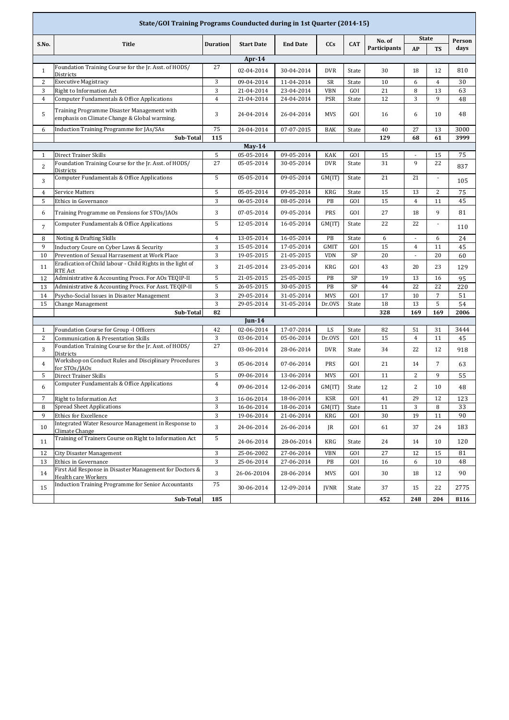| State/GOI Training Programs Counducted during in 1st Quarter (2014-15) |                                                                                             |                 |                          |                          |              |              |              |                |                          |            |  |
|------------------------------------------------------------------------|---------------------------------------------------------------------------------------------|-----------------|--------------------------|--------------------------|--------------|--------------|--------------|----------------|--------------------------|------------|--|
|                                                                        |                                                                                             |                 |                          |                          |              |              | No. of       | <b>State</b>   |                          | Person     |  |
| S.No.                                                                  | <b>Title</b>                                                                                | <b>Duration</b> | <b>Start Date</b>        | <b>End Date</b>          | <b>CCs</b>   | <b>CAT</b>   | Participants | AP             | <b>TS</b>                | days       |  |
| Apr- $14$                                                              |                                                                                             |                 |                          |                          |              |              |              |                |                          |            |  |
| $\mathbf{1}$                                                           | Foundation Training Course for the Jr. Asst. of HODS/                                       | 27              | 02-04-2014               | 30-04-2014               | <b>DVR</b>   | State        | 30           | 18             | 12                       | 810        |  |
| $\overline{c}$                                                         | Districts<br><b>Executive Magistracy</b>                                                    | 3               | 09-04-2014               | 11-04-2014               | SR           | State        | 10           | 6              | $\overline{4}$           | 30         |  |
| 3                                                                      | Right to Information Act                                                                    | 3               | 21-04-2014               | 23-04-2014               | <b>VBN</b>   | GOI          | 21           | 8              | 13                       | 63         |  |
| $\overline{4}$                                                         | Computer Fundamentals & Office Applications                                                 | $\overline{4}$  | 21-04-2014               | 24-04-2014               | <b>PSR</b>   | State        | 12           | 3              | 9                        | 48         |  |
| 5                                                                      | Training Programme Disaster Management with<br>emphasis on Climate Change & Global warming. | 3               | 24-04-2014               | 26-04-2014               | <b>MVS</b>   | GOI          | 16           | 6              | 10                       | 48         |  |
| 6                                                                      | Induction Training Programme for JAs/SAs                                                    | 75              | 24-04-2014               | 07-07-2015               | <b>BAK</b>   | State        | 40           | 27             | 13                       | 3000       |  |
|                                                                        | <b>Sub-Total</b>                                                                            | 115             |                          |                          |              |              | 129          | 68             | 61                       | 3999       |  |
| $May-14$                                                               |                                                                                             |                 |                          |                          |              |              |              |                |                          |            |  |
| $\mathbf{1}$                                                           | Direct Trainer Skills                                                                       | 5               | 05-05-2014               | 09-05-2014               | <b>KAK</b>   | GOI          | 15           | $\frac{1}{2}$  | 15                       | 75         |  |
| $\overline{2}$                                                         | Foundation Training Course for the Jr. Asst. of HODS/<br><b>Districts</b>                   | 27              | 05-05-2014               | 30-05-2014               | <b>DVR</b>   | State        | 31           | $\mathbf{q}$   | 22                       | 837        |  |
| 3                                                                      | Computer Fundamentals & Office Applications                                                 | 5               | 05-05-2014               | 09-05-2014               | GM(IT)       | State        | 21           | 21             | $\overline{\phantom{a}}$ | 105        |  |
| 4                                                                      | <b>Service Matters</b>                                                                      | 5               | 05-05-2014               | 09-05-2014               | <b>KRG</b>   | State        | 15           | 13             | $\overline{c}$           | 75         |  |
| 5                                                                      | <b>Ethics in Governance</b>                                                                 | 3               | 06-05-2014               | 08-05-2014               | PB           | GOI          | 15           | $\overline{4}$ | 11                       | 45         |  |
| 6                                                                      | Training Programme on Pensions for STOs/JAOs                                                | 3               | 07-05-2014               | 09-05-2014               | PRS          | GOI          | 27           | 18             | 9                        | 81         |  |
| $\overline{7}$                                                         | Computer Fundamentals & Office Applications                                                 | 5               | 12-05-2014               | 16-05-2014               | GM(IT)       | State        | 22           | 22             | $\overline{\phantom{a}}$ | 110        |  |
| 8                                                                      | Noting & Drafting Skills                                                                    | $\overline{4}$  | 13-05-2014               | 16-05-2014               | PB           | State        | 6            |                | 6                        | 24         |  |
| 9                                                                      | Inductory Coure on Cyber Laws & Security                                                    | 3               | 15-05-2014               | 17-05-2014               | <b>GMIT</b>  | GOI          | 15           | $\overline{4}$ | 11                       | 45         |  |
| 10                                                                     | Prevention of Sexual Harrasement at Work Place                                              | 3               | 19-05-2015               | 21-05-2015               | <b>VDN</b>   | SP           | 20           | $\blacksquare$ | 20                       | 60         |  |
| 11                                                                     | Eradication of Child labour - Child Rights in the light of<br><b>RTE Act</b>                | 3               | 21-05-2014               | 23-05-2014               | <b>KRG</b>   | GOI          | 43           | 20             | 23                       | 129        |  |
| 12                                                                     | Administrative & Accounting Procs. For AOs TEQIP-II                                         | 5               | 21-05-2015               | 25-05-2015               | PB           | SP           | 19           | 13             | 16                       | 95         |  |
| 13                                                                     | Administrative & Accounting Procs. For Asst. TEQIP-II                                       | 5               | 26-05-2015               | 30-05-2015               | PB           | SP           | 44           | 22             | 22                       | 220        |  |
| 14                                                                     | Psycho-Social Issues in Disaster Management                                                 | 3               | 29-05-2014               | 31-05-2014               | <b>MVS</b>   | GOI          | 17           | 10             | $\sqrt{7}$               | 51         |  |
| 15                                                                     | Change Management                                                                           | 3               | 29-05-2014               | 31-05-2014               | Dr.OVS       | State        | 18           | 13             | 5                        | 54         |  |
|                                                                        | 82<br>328<br>169<br>169<br>Sub-Total                                                        |                 |                          |                          |              |              |              |                | 2006                     |            |  |
|                                                                        |                                                                                             |                 | $Jun-14$                 |                          |              |              |              |                |                          |            |  |
| $\mathbf{1}$<br>2                                                      | Foundation Course for Group -I Officers<br>Communication & Presentation Skills              | 42<br>3         | 02-06-2014<br>03-06-2014 | 17-07-2014<br>05-06-2014 | LS<br>Dr.OVS | State<br>GOI | 82<br>15     | 51<br>4        | 31<br>11                 | 3444<br>45 |  |
| 3                                                                      | Foundation Training Course for the Jr. Asst. of HODS/                                       | 27              | 03-06-2014               | 28-06-2014               | <b>DVR</b>   | State        | 34           | 22             | 12                       | 918        |  |
| $\overline{4}$                                                         | <b>Districts</b><br>Workshop on Conduct Rules and Disciplinary Procedures                   | 3               | 05-06-2014               | 07-06-2014               | PRS          | GOI          | 21           | 14             | $\overline{7}$           | 63         |  |
| 5                                                                      | for STOs/JAOs<br>Direct Trainer Skills                                                      | 5               | 09-06-2014               | 13-06-2014               | <b>MVS</b>   | GOI          | 11           | $\overline{c}$ | 9                        | 55         |  |
| 6                                                                      | Computer Fundamentals & Office Applications                                                 | $\overline{4}$  | 09-06-2014               | 12-06-2014               | GM(IT)       | State        | 12           | $\overline{c}$ | 10                       | 48         |  |
| 7                                                                      | Right to Information Act                                                                    | 3               | 16-06-2014               | 18-06-2014               | <b>KSR</b>   | GOI          | 41           | 29             | 12                       | 123        |  |
| 8                                                                      | <b>Spread Sheet Applications</b>                                                            | 3               | 16-06-2014               | 18-06-2014               | GM(IT)       | State        | 11           | $\sqrt{3}$     | 8                        | 33         |  |
| 9                                                                      | <b>Ethics for Excellence</b>                                                                | 3               | 19-06-2014               | 21-06-2014               | KRG          | GOI          | 30           | 19             | 11                       | 90         |  |
| 10                                                                     | Integrated Water Resource Management in Response to<br>Climate Change                       | 3               | 24-06-2014               | 26-06-2014               | JR           | GOI          | 61           | 37             | 24                       | 183        |  |
| 11                                                                     | Training of Trainers Course on Right to Information Act                                     | 5               | 24-06-2014               | 28-06-2014               | KRG          | State        | 24           | 14             | 10                       | 120        |  |
| 12                                                                     | City Disaster Management                                                                    | 3               | 25-06-2002               | 27-06-2014               | <b>VBN</b>   | GOI          | 27           | 12             | 15                       | 81         |  |
| 13                                                                     | <b>Ethics in Governance</b>                                                                 | 3               | 25-06-2014               | 27-06-2014               | PB           | GOI          | 16           | 6              | 10                       | 48         |  |
| 14                                                                     | First Aid Response in Disaster Management for Doctors &<br>Health care Workers              | 3               | 26-06-20104              | 28-06-2014               | <b>MVS</b>   | GOI          | 30           | 18             | 12                       | 90         |  |
| 15                                                                     | <b>Induction Training Programme for Senior Accountants</b>                                  | 75              | 30-06-2014               | 12-09-2014               | <b>JVNR</b>  | State        | 37           | 15             | 22                       | 2775       |  |
|                                                                        | Sub-Total                                                                                   | 185             |                          |                          |              |              | 452          | 248            | 204                      | 8116       |  |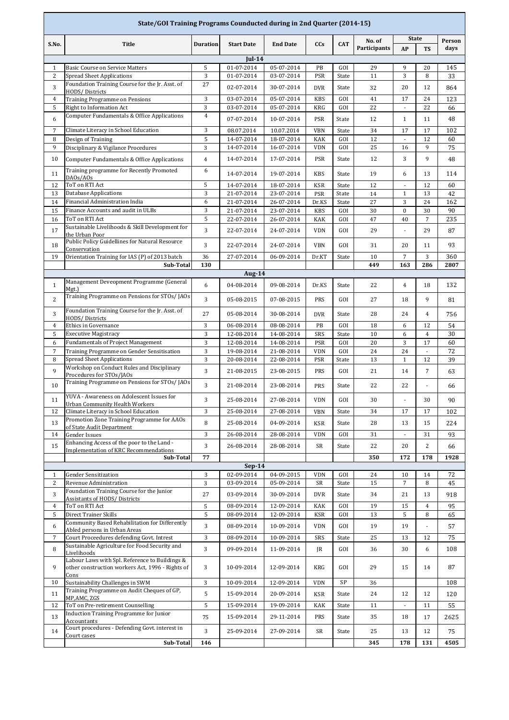| State/GOI Training Programs Counducted during in 2nd Quarter (2014-15) |                                                                                            |                 |                   |                 |            |            |              |                |                          |        |  |
|------------------------------------------------------------------------|--------------------------------------------------------------------------------------------|-----------------|-------------------|-----------------|------------|------------|--------------|----------------|--------------------------|--------|--|
|                                                                        |                                                                                            |                 | <b>Start Date</b> |                 |            | <b>CAT</b> | No. of       | <b>State</b>   |                          | Person |  |
| S.No.                                                                  | <b>Title</b>                                                                               | <b>Duration</b> |                   | <b>End Date</b> | <b>CCs</b> |            | Participants | AP             | <b>TS</b>                | days   |  |
|                                                                        | $Jul-14$                                                                                   |                 |                   |                 |            |            |              |                |                          |        |  |
| $\mathbf{1}$                                                           | <b>Basic Course on Service Matters</b>                                                     | 5               | 01-07-2014        | 05-07-2014      | PB         | GOI        | 29           | 9              | 20                       | 145    |  |
| $\overline{c}$                                                         | <b>Spread Sheet Applications</b>                                                           | 3               | 01-07-2014        | 03-07-2014      | PSR        | State      | 11           | 3              | 8                        | 33     |  |
| 3                                                                      | Foundation Training Course for the Jr. Asst. of<br>HODS/Districts                          | 27              | 02-07-2014        | 30-07-2014      | <b>DVR</b> | State      | 32           | 20             | 12                       | 864    |  |
| $\overline{4}$                                                         | Training Programme on Pensions                                                             | 3               | 03-07-2014        | 05-07-2014      | <b>KBS</b> | GOI        | 41           | 17             | 24                       | 123    |  |
| 5                                                                      | Right to Information Act                                                                   | 3               | 03-07-2014        | 05-07-2014      | <b>KRG</b> | GOI        | 22           | ٠              | 22                       | 66     |  |
| 6                                                                      | Computer Fundamentals & Office Applications                                                | $\overline{4}$  | 07-07-2014        | 10-07-2014      | PSR        | State      | 12           | $\mathbf{1}$   | 11                       | 48     |  |
| $\overline{7}$                                                         | Climate Literacy in School Education                                                       | 3               | 08.07.2014        | 10.07.2014      | <b>VBN</b> | State      | 34           | 17             | 17                       | 102    |  |
| 8                                                                      | Design of Training                                                                         | 5               | 14-07-2014        | 18-07-2014      | KAK        | GOI        | 12           | ÷.             | 12                       | 60     |  |
| 9                                                                      | Disciplinary & Vigilance Procedures                                                        | 3               | 14-07-2014        | 16-07-2014      | <b>VDN</b> | GOI        | 25           | 16             | 9                        | 75     |  |
| 10                                                                     | Computer Fundamentals & Office Applications                                                | $\overline{4}$  | 14-07-2014        | 17-07-2014      | <b>PSR</b> | State      | 12           | 3              | 9                        | 48     |  |
|                                                                        |                                                                                            |                 |                   |                 |            |            |              |                |                          |        |  |
| 11                                                                     | Training programme for Recently Promoted<br>DAOs/AOs                                       | 6               | 14-07-2014        | 19-07-2014      | <b>KBS</b> | State      | 19           | 6              | 13                       | 114    |  |
| 12                                                                     | ToT on RTI Act                                                                             | 5               | 14-07-2014        | 18-07-2014      | <b>KSR</b> | State      | 12           | $\blacksquare$ | 12                       | 60     |  |
| 13                                                                     | <b>Database Applications</b>                                                               | 3               | 21-07-2014        | 23-07-2014      | PSR        | State      | 14           | $\mathbf{1}$   | 13                       | 42     |  |
| 14                                                                     | Financial Administration India                                                             | 6               | 21-07-2014        | 26-07-2014      | Dr.KS      | State      | 27           | 3              | 24                       | 162    |  |
| 15                                                                     | Finance Accounts and audit in ULBs                                                         | 3               | 21-07-2014        | 23-07-2014      | KBS        | GOI        | 30           | $\mathbf{0}$   | 30                       | 90     |  |
| 16                                                                     | ToT on RTI Act                                                                             | 5               | 22-07-2014        | 26-07-2014      | KAK        | GOI        | 47           | 40             | 7                        | 235    |  |
| 17                                                                     | Sustainable Livelihoods & Skill Development for<br>the Urban Poor                          | 3               | 22-07-2014        | 24-07-2014      | <b>VDN</b> | GOI        | 29           |                | 29                       | 87     |  |
| 18                                                                     | Public Policy Guidellines for Natural Resource                                             | 3               | 22-07-2014        | 24-07-2014      | <b>VBN</b> | GOI        |              | 20             | 11                       |        |  |
|                                                                        | Conservation                                                                               |                 |                   |                 |            |            | 31           |                |                          | 93     |  |
| 19                                                                     | Orientation Training for IAS (P) of 2013 batch                                             | 36              | 27-07-2014        | 06-09-2014      | Dr.KT      | State      | 10           | $\overline{7}$ | 3                        | 360    |  |
|                                                                        | Sub-Total                                                                                  | 130             | <b>Aug-14</b>     |                 |            |            | 449          | 163            | 286                      | 2807   |  |
|                                                                        | Management Deveopment Programme (General                                                   |                 |                   |                 |            |            |              |                |                          |        |  |
| $\mathbf{1}$                                                           | Mgt.)                                                                                      | 6               | 04-08-2014        | 09-08-2014      | Dr.KS      | State      | 22           | $\overline{4}$ | 18                       | 132    |  |
| $\overline{2}$                                                         | Training Programme on Pensions for STOs/ JAOs                                              | 3               | 05-08-2015        | 07-08-2015      | <b>PRS</b> | GOI        | 27           | 18             | 9                        | 81     |  |
| 3                                                                      | Foundation Training Course for the Jr. Asst. of<br>HODS/Districts                          | 27              | 05-08-2014        | 30-08-2014      | <b>DVR</b> | State      | 28           | 24             | 4                        | 756    |  |
| $\overline{4}$                                                         | <b>Ethics in Governance</b>                                                                | 3               | 06-08-2014        | 08-08-2014      | PB         | <b>GOI</b> | 18           | 6              | 12                       | 54     |  |
| 5                                                                      | <b>Executive Magistracy</b>                                                                | 3               | 12-08-2014        | 14-08-2014      | SRS        | State      | 10           | 6              | $\overline{4}$           | 30     |  |
| 6                                                                      | <b>Fundamentals of Project Management</b>                                                  | 3               | 12-08-2014        | 14-08-2014      | PSR        | GOI        | 20           | 3              | 17                       | 60     |  |
| $\overline{7}$                                                         | Training Programme on Gender Sensitisation                                                 | 3               | 19-08-2014        | 21-08-2014      | <b>VDN</b> | GOI        | 24           | 24             | $\overline{\phantom{a}}$ | 72     |  |
| 8                                                                      | <b>Spread Sheet Applications</b><br>Workshop on Conduct Rules and Disciplinary             | 3               | 20-08-2014        | 22-08-2014      | <b>PSR</b> | State      | 13           | $\mathbf{1}$   | 12                       | 39     |  |
| 9                                                                      | Procedures for STOs/JAOs                                                                   | 3               | 21-08-2015        | 23-08-2015      | <b>PRS</b> | GOI        | 21           | 14             | $\overline{7}$           | 63     |  |
| 10                                                                     | Training Programme on Pensions for STOs/ JAOs                                              | 3               | 21-08-2014        | 23-08-2014      | <b>PRS</b> | State      | 22           | 22             | $\overline{\phantom{a}}$ | 66     |  |
| 11                                                                     | YUVA - Awareness on Adolescent Issues for                                                  | 3               | 25-08-2014        | 27-08-2014      | VDN        | GOI        | $30\,$       |                | 30                       | 90     |  |
| 12                                                                     | <b>Urban Community Health Workers</b><br>Climate Literacy in School Education              | 3               | 25-08-2014        | 27-08-2014      | <b>VBN</b> | State      | 34           | 17             | 17                       | 102    |  |
|                                                                        | Promotion Zone Training Programme for AAOs                                                 |                 |                   |                 |            |            |              |                |                          |        |  |
| 13                                                                     | of State Audit Department                                                                  | 8               | 25-08-2014        | 04-09-2014      | <b>KSR</b> | State      | 28           | 13             | 15                       | 224    |  |
| 14                                                                     | Gender Issues                                                                              | 3               | 26-08-2014        | 28-08-2014      | <b>VDN</b> | GOI        | 31           |                | 31                       | 93     |  |
| 15                                                                     | Enhancing Access of the poor to the Land -<br><b>Implementation of KRC Recommendations</b> | 3               | 26-08-2014        | 28-08-2014      | SR         | State      | 22           | 20             | $\overline{c}$           | 66     |  |
|                                                                        | Sub-Total                                                                                  | 77              |                   |                 |            |            | 350          | 172            | 178                      | 1928   |  |
|                                                                        |                                                                                            |                 | $Sep-14$          |                 |            |            |              |                |                          |        |  |
| $\mathbf{1}$                                                           | <b>Gender Sensitization</b>                                                                | 3               | $02-09-2014$      | 04-09-2015      | <b>VDN</b> | GOI        | 24           | 10             | 14                       | 72     |  |
| $\overline{c}$                                                         | Revenue Administration                                                                     | 3               | 03-09-2014        | 05-09-2014      | <b>SR</b>  | State      | 15           | 7              | 8                        | 45     |  |
| 3                                                                      | Foundation Training Course for the Junior<br>Assistants of HODS/ Districts                 | 27              | 03-09-2014        | 30-09-2014      | <b>DVR</b> | State      | 34           | 21             | 13                       | 918    |  |
| $\overline{4}$                                                         | ToT on RTI Act                                                                             | 5               | 08-09-2014        | 12-09-2014      | KAK        | GOI        | 19           | 15             | $\overline{4}$           | 95     |  |
| 5                                                                      | Direct Trainer Skills                                                                      | 5               | 08-09-2014        | 12-09-2014      | KSR        | GOI        | 13           | 5              | 8                        | 65     |  |
| 6                                                                      | Community Based Rehabilitation for Differently<br>Abled persons in Urban Areas             | 3               | 08-09-2014        | 10-09-2014      | <b>VDN</b> | GOI        | 19           | 19             | ÷.                       | 57     |  |
| $\overline{7}$                                                         | Court Proceedures defending Govt. Intrest                                                  | 3               | 08-09-2014        | 10-09-2014      | SRS        | State      | 25           | 13             | 12                       | 75     |  |
| 8                                                                      | Sustainable Agriculture for Food Security and                                              | 3               | 09-09-2014        | 11-09-2014      | JR         | GOI        | 36           | 30             | 6                        | 108    |  |
|                                                                        | Livelihoods<br>Labour Laws with Spl. Reference to Buildings &                              |                 |                   |                 |            |            |              |                |                          |        |  |
| 9                                                                      | other construction workers Act, 1996 - Rights of<br>Cons                                   | 3               | 10-09-2014        | 12-09-2014      | KRG        | GOI        | 29           | 15             | 14                       | 87     |  |
| 10                                                                     | Sustainability Challenges in SWM                                                           | 3               | 10-09-2014        | 12-09-2014      | <b>VDN</b> | SP         | 36           |                |                          | 108    |  |
| 11                                                                     | Training Programme on Audit Cheques of GP,<br>MP,AMC, ZGS                                  | 5               | 15-09-2014        | 20-09-2014      | KSR        | State      | 24           | 12             | 12                       | 120    |  |
| 12                                                                     | ToT on Pre-retirement Counselling                                                          | 5               | 15-09-2014        | 19-09-2014      | <b>KAK</b> | State      | 11           | ÷              | 11                       | 55     |  |
| 13                                                                     | Induction Training Programme for Junior                                                    | 75              | 15-09-2014        | 29-11-2014      | <b>PRS</b> | State      | 35           | 18             | 17                       | 2625   |  |
| 14                                                                     | Accountants<br>Court procedures - Defending Govt. interest in                              | 3               | 25-09-2014        | 27-09-2014      | SR         | State      | 25           | 13             | 12                       | 75     |  |
|                                                                        | Court cases<br>Sub-Total                                                                   | 146             |                   |                 |            |            | 345          | 178            | 131                      | 4505   |  |
|                                                                        |                                                                                            |                 |                   |                 |            |            |              |                |                          |        |  |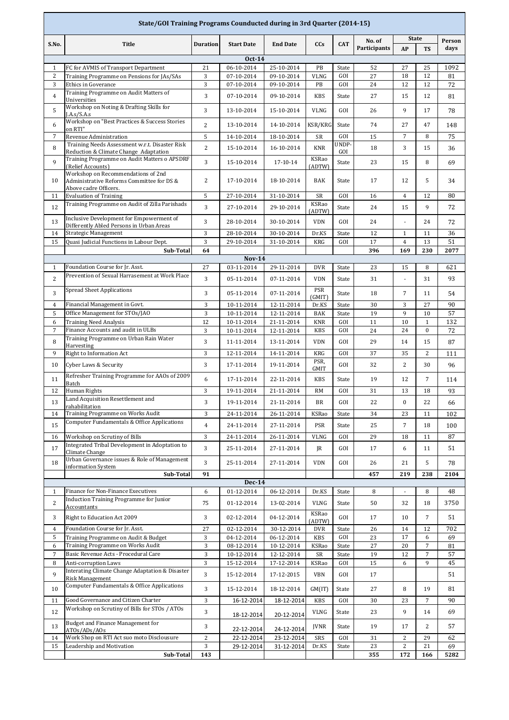| State/GOI Training Programs Counducted during in 3rd Quarter (2014-15) |                                                                                                          |                 |                             |                          |                      |              |              |                                |                          |            |
|------------------------------------------------------------------------|----------------------------------------------------------------------------------------------------------|-----------------|-----------------------------|--------------------------|----------------------|--------------|--------------|--------------------------------|--------------------------|------------|
| S.No.                                                                  | <b>Title</b>                                                                                             | <b>Duration</b> | <b>Start Date</b>           | <b>End Date</b>          | CCs                  | <b>CAT</b>   | No. of       | <b>State</b>                   |                          | Person     |
|                                                                        |                                                                                                          |                 |                             |                          |                      |              | Participants | AP                             | <b>TS</b>                | days       |
|                                                                        |                                                                                                          |                 | <b>Oct-14</b>               |                          |                      |              |              |                                |                          |            |
| $\mathbf{1}$<br>2                                                      | FC for AVMIS of Transport Department<br>Training Programme on Pensions for JAs/SAs                       | 21<br>3         | 06-10-2014<br>07-10-2014    | 25-10-2014<br>09-10-2014 | PB<br><b>VLNG</b>    | State<br>GOI | 52<br>27     | 27<br>18                       | 25<br>12                 | 1092<br>81 |
| 3                                                                      | <b>Ethics in Goverance</b>                                                                               | 3               | 07-10-2014                  | 09-10-2014               | PB                   | GOI          | 24           | 12                             | 12                       | 72         |
| $\overline{4}$                                                         | Training Programme on Audit Matters of                                                                   | 3               | 07-10-2014                  | 09-10-2014               | <b>KBS</b>           | State        | 27           | 15                             | 12                       | 81         |
|                                                                        | Universities<br>Workshop on Noting & Drafting Skills for                                                 |                 |                             |                          |                      |              |              |                                |                          |            |
| 5                                                                      | A.s/S.A.s                                                                                                | 3               | 13-10-2014                  | 15-10-2014               | VLNG                 | GOI          | 26           | 9                              | 17                       | 78         |
| 6                                                                      | Workshop on "Best Practices & Success Stories<br>on RTI"                                                 | $\overline{c}$  | 13-10-2014                  | 14-10-2014               | KSR/KRG              | State        | 74           | 27                             | 47                       | 148        |
| 7                                                                      | Revenue Administration                                                                                   | 5               | 14-10-2014                  | 18-10-2014               | SR                   | GOI          | 15           | 7                              | 8                        | 75         |
| 8                                                                      | Training Needs Assessment w.r.t. Disaster Risk<br>Reduction & Climate Change Adaptation                  | $\overline{c}$  | 15-10-2014                  | 16-10-2014               | <b>KNR</b>           | UNDP-<br>GOI | 18           | 3                              | 15                       | 36         |
| 9                                                                      | Training Programme on Audit Matters o APSDRF<br>(Relief Accounts)                                        | 3               | 15-10-2014                  | 17-10-14                 | KSRao<br>(ADTW)      | State        | 23           | 15                             | 8                        | 69         |
| 10                                                                     | Workshop on Recommendations of 2nd<br>Administrative Reforms Committee for DS &<br>Above cadre Officers. | $\overline{2}$  | 17-10-2014                  | 18-10-2014               | BAK                  | State        | 17           | 12                             | 5                        | 34         |
| 11                                                                     | <b>Evaluation of Training</b>                                                                            | 5               | 27-10-2014                  | 31-10-2014               | SR                   | GOI          | 16           | $\overline{4}$                 | 12                       | 80         |
| 12                                                                     | Training Programme on Audit of Zilla Parishads                                                           | 3               | 27-10-2014                  | 29-10-2014               | KSRao                | State        | 24           | 15                             | 9                        | 72         |
| 13                                                                     | Inclusive Development for Empowerment of                                                                 | 3               | 28-10-2014                  | 30-10-2014               | (ADTW)<br><b>VDN</b> | GOI          | 24           | ÷.                             | 24                       | 72         |
|                                                                        | Differently Abled Persons in Urban Areas<br>Strategic Management                                         |                 |                             | 30-10-2014               |                      |              |              |                                |                          |            |
| 14<br>15                                                               | Quasi Judicial Functions in Labour Dept.                                                                 | 3<br>3          | 28-10-2014<br>29-10-2014    | 31-10-2014               | Dr.KS<br>KRG         | State<br>GOI | 12<br>17     | $\mathbf{1}$<br>$\overline{4}$ | 11<br>13                 | 36<br>51   |
|                                                                        | Sub-Total                                                                                                | 64              |                             |                          |                      |              | 396          | 169                            | 230                      | 2077       |
|                                                                        |                                                                                                          |                 | <b>Nov-14</b>               |                          |                      |              |              |                                |                          |            |
| $\mathbf{1}$                                                           | Foundation Course for Jr. Asst.                                                                          | 27              | 03-11-2014                  | 29-11-2014               | <b>DVR</b>           | State        | 23           | 15                             | 8                        | 621        |
| $\overline{c}$                                                         | Prevention of Sexual Harrasement at Work Place                                                           | 3               | 05-11-2014                  | 07-11-2014               | <b>VDN</b>           | State        | 31           | $\blacksquare$                 | 31                       | 93         |
| 3                                                                      | <b>Spread Sheet Applications</b>                                                                         | 3               | 05-11-2014                  | 07-11-2014               | PSR<br>(GMIT)        | State        | 18           | 7                              | 11                       | 54         |
| $\overline{4}$                                                         | Financial Management in Govt.                                                                            | 3               | 10-11-2014                  | 12-11-2014               | Dr.KS                | State        | 30           | 3                              | 27                       | 90         |
| 5                                                                      | Office Management for STOs/JAO                                                                           | 3               | 10-11-2014                  | 12-11-2014               | BAK                  | State        | 19           | 9                              | 10                       | 57         |
| 6<br>$\overline{7}$                                                    | <b>Training Need Analysis</b><br>Finance Accounts and audit in ULBs                                      | 12<br>3         | 10-11-2014<br>10-11-2014    | 21-11-2014<br>12-11-2014 | <b>KNR</b><br>KBS    | GOI<br>GOI   | 11<br>24     | 10<br>24                       | $\mathbf{1}$<br>$\bf{0}$ | 132<br>72  |
|                                                                        | Training Programme on Urban Rain Water                                                                   |                 |                             |                          |                      |              |              |                                |                          |            |
| 8<br>9                                                                 | Harvesting<br>Right to Information Act                                                                   | 3<br>3          | 11-11-2014<br>12-11-2014    | 13-11-2014<br>14-11-2014 | <b>VDN</b><br>KRG    | GOI<br>GOI   | 29<br>37     | 14<br>35                       | 15<br>2                  | 87<br>111  |
| 10                                                                     | <b>Cyber Laws &amp; Security</b>                                                                         | 3               | 17-11-2014                  | 19-11-2014               | PSR,                 | GOI          | 32           | 2                              | 30                       | 96         |
| 11                                                                     | Refresher Training Programme for AAOs of 2009                                                            | 6               | 17-11-2014                  | 22-11-2014               | GMIT<br><b>KBS</b>   | State        | 19           | 12                             | $\overline{7}$           | 114        |
| 12                                                                     | Batch<br>Human Rights                                                                                    | 3               | 19-11-2014                  | 21-11-2014               | RM                   | GOI          | 31           | 13                             | 18                       | 93         |
| 13                                                                     | Land Acquisition Resettlement and                                                                        | 3               | 19-11-2014                  | 21-11-2014               | BR                   | GOI          | 22           | $\bf{0}$                       | 22                       | 66         |
| 14                                                                     | rahabilitation<br>Training Programme on Works Audit                                                      | 3               | 24-11-2014                  | 26-11-2014               | KSRao                | State        | 34           | 23                             | 11                       | 102        |
| 15                                                                     | <b>Computer Fundamentals &amp; Office Applications</b>                                                   | $\overline{4}$  | 24-11-2014                  | 27-11-2014               | PSR                  | State        | 25           | $\overline{7}$                 | 18                       | 100        |
|                                                                        |                                                                                                          |                 |                             |                          |                      |              |              | 18                             |                          |            |
| 16                                                                     | Workshop on Scrutiny of Bills<br>Integrated Tribal Development in Adoptation to                          | 3               | 24-11-2014                  | 26-11-2014               | VLNG                 | GOI          | 29           |                                | 11                       | 87         |
| 17                                                                     | Climate Change<br>Urban Governance issues & Role of Management                                           | 3               | 25-11-2014                  | 27-11-2014               | JR                   | GOI          | 17           | 6                              | 11                       | 51         |
| 18                                                                     | information System                                                                                       | 3               | 25-11-2014                  | 27-11-2014               | VDN                  | GOI          | 26           | 21                             | 5                        | 78         |
|                                                                        | Sub-Total                                                                                                | 91              |                             |                          |                      |              | 457          | 219                            | 238                      | 2104       |
| $\mathbf{1}$                                                           | Finance for Non-Finance Executives                                                                       | 6               | <b>Dec-14</b><br>01-12-2014 | 06-12-2014               | Dr.KS                | State        | 8            |                                | 8                        | 48         |
| 2                                                                      | Induction Training Programme for Junior                                                                  | 75              | 01-12-2014                  | 13-02-2014               | <b>VLNG</b>          | State        | 50           | 32                             | 18                       | 3750       |
| 3                                                                      | Accountants<br>Right to Education Act 2009                                                               | 3               | 02-12-2014                  | 04-12-2014               | KSRao                | GOI          | 17           | 10                             | $\overline{7}$           | 51         |
|                                                                        |                                                                                                          |                 |                             |                          | (ADTW)               |              |              |                                |                          |            |
| $\overline{4}$<br>5                                                    | Foundation Course for Jr. Asst.<br>Training Programme on Audit & Budget                                  | 27<br>3         | 02-12-2014<br>04-12-2014    | 30-12-2014<br>06-12-2014 | <b>DVR</b><br>KBS    | State<br>GOI | 26<br>23     | 14<br>17                       | 12<br>6                  | 702<br>69  |
| 6                                                                      | Training Programme on Works Audit                                                                        | 3               | 08-12-2014                  | 10-12-2014               | KSRao                | State        | 27           | 20                             | $\overline{7}$           | 81         |
| $\overline{7}$                                                         | Basic Revenue Acts - Procedural Care                                                                     | 3               | 10-12-2014                  | 12-12-2014               | SR                   | State        | 19           | 12                             | $\overline{7}$           | 57         |
| 8                                                                      | Anti-corruption Laws                                                                                     | 3               | 15-12-2014                  | 17-12-2014               | KSRao                | GOI          | 15           | 6                              | 9                        | 45         |
| 9                                                                      | Interating Climate Change Adaptation & Disaster<br>Risk Management                                       | 3               | 15-12-2014                  | 17-12-2015               | <b>VBN</b>           | GOI          | 17           |                                |                          | 51         |
| 10                                                                     | Computer Fundamentals & Office Applications                                                              | 3               | 15-12-2014                  | 18-12-2014               | GM(IT)               | State        | 27           | 8                              | 19                       | 81         |
| 11                                                                     | Good Governance and Citizen Charter                                                                      | 3               | 16-12-2014                  | 18-12-2014               | KBS                  | GOI          | 30           | 23                             | $\overline{7}$           | 90         |
| 12                                                                     | Workshop on Scrutiny of Bills for STOs / ATOs                                                            | 3               | 18-12-2014                  | 20-12-2014               | <b>VLNG</b>          | State        | 23           | 9                              | 14                       | 69         |
| 13                                                                     | <b>Budget and Finance Management for</b><br>ATOs/ADs/AOs                                                 | 3               | 22-12-2014                  | 24-12-2014               | JVNR                 | State        | 19           | 17                             | 2                        | 57         |
| 14                                                                     | Work Shop on RTI Act suo moto Disclousure                                                                | $\overline{2}$  | 22-12-2014                  | 23-12-2014               | SRS                  | GOI          | 31           | $\overline{c}$                 | 29                       | 62         |
| 15                                                                     | Leadership and Motivation                                                                                | 3               | 29-12-2014                  | 31-12-2014               | Dr.KS                | State        | 23           | $\overline{c}$                 | 21                       | 69         |
|                                                                        | Sub-Total                                                                                                | 143             |                             |                          |                      |              | 355          | 172                            | 166                      | 5282       |